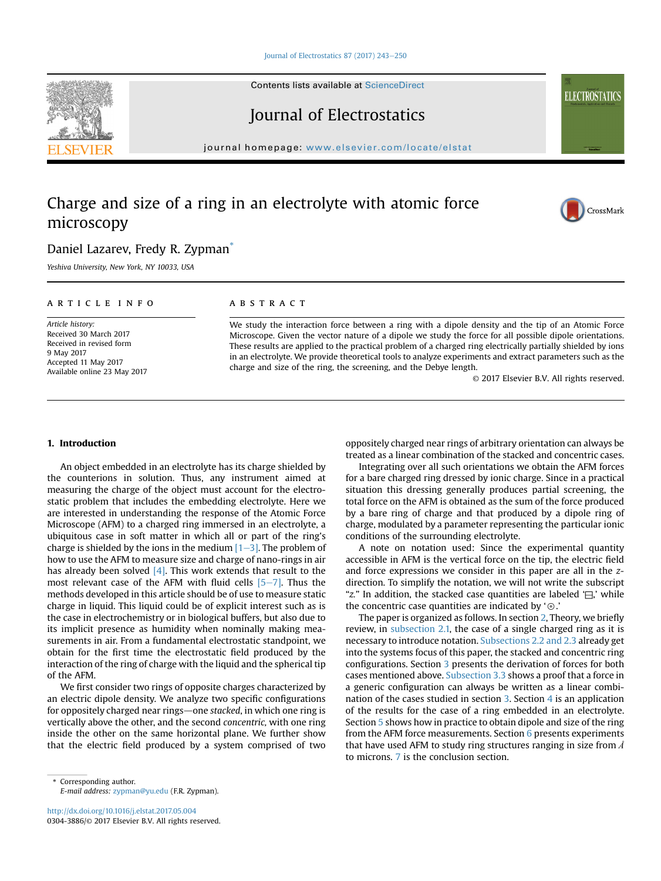#### [Journal of Electrostatics 87 \(2017\) 243](http://dx.doi.org/10.1016/j.elstat.2017.05.004)-[250](http://dx.doi.org/10.1016/j.elstat.2017.05.004)

Contents lists available at ScienceDirect

# Journal of Electrostatics

journal homepage: [www.elsevier.com/locate/elstat](http://www.elsevier.com/locate/elstat)

# Charge and size of a ring in an electrolyte with atomic force microscopy



Yeshiva University, New York, NY 10033, USA

## article info

Article history: Received 30 March 2017 Received in revised form 9 May 2017 Accepted 11 May 2017 Available online 23 May 2017

## **ABSTRACT**

We study the interaction force between a ring with a dipole density and the tip of an Atomic Force Microscope. Given the vector nature of a dipole we study the force for all possible dipole orientations. These results are applied to the practical problem of a charged ring electrically partially shielded by ions in an electrolyte. We provide theoretical tools to analyze experiments and extract parameters such as the charge and size of the ring, the screening, and the Debye length.

© 2017 Elsevier B.V. All rights reserved.

#### 1. Introduction

An object embedded in an electrolyte has its charge shielded by the counterions in solution. Thus, any instrument aimed at measuring the charge of the object must account for the electrostatic problem that includes the embedding electrolyte. Here we are interested in understanding the response of the Atomic Force Microscope (AFM) to a charged ring immersed in an electrolyte, a ubiquitous case in soft matter in which all or part of the ring's charge is shielded by the ions in the medium  $[1-3]$  $[1-3]$ . The problem of how to use the AFM to measure size and charge of nano-rings in air has already been solved  $[4]$ . This work extends that result to the most relevant case of the AFM with fluid cells  $[5-7]$  $[5-7]$  $[5-7]$ . Thus the methods developed in this article should be of use to measure static charge in liquid. This liquid could be of explicit interest such as is the case in electrochemistry or in biological buffers, but also due to its implicit presence as humidity when nominally making measurements in air. From a fundamental electrostatic standpoint, we obtain for the first time the electrostatic field produced by the interaction of the ring of charge with the liquid and the spherical tip of the AFM.

We first consider two rings of opposite charges characterized by an electric dipole density. We analyze two specific configurations for oppositely charged near rings—one stacked, in which one ring is vertically above the other, and the second concentric, with one ring inside the other on the same horizontal plane. We further show that the electric field produced by a system comprised of two

Corresponding author. E-mail address: [zypman@yu.edu](mailto:zypman@yu.edu) (F.R. Zypman).

<http://dx.doi.org/10.1016/j.elstat.2017.05.004> 0304-3886/© 2017 Elsevier B.V. All rights reserved. oppositely charged near rings of arbitrary orientation can always be treated as a linear combination of the stacked and concentric cases.

Integrating over all such orientations we obtain the AFM forces for a bare charged ring dressed by ionic charge. Since in a practical situation this dressing generally produces partial screening, the total force on the AFM is obtained as the sum of the force produced by a bare ring of charge and that produced by a dipole ring of charge, modulated by a parameter representing the particular ionic conditions of the surrounding electrolyte.

A note on notation used: Since the experimental quantity accessible in AFM is the vertical force on the tip, the electric field and force expressions we consider in this paper are all in the zdirection. To simplify the notation, we will not write the subscript "z." In addition, the stacked case quantities are labeled '⊟,' while the concentric case quantities are indicated by  $\circ$ .'

The paper is organized as follows. In section 2, Theory, we briefly review, in [subsection 2.1,](#page-1-0) the case of a single charged ring as it is necessary to introduce notation. [Subsections 2.2 and 2.3](#page-1-0) already get into the systems focus of this paper, the stacked and concentric ring configurations. Section [3](#page-2-0) presents the derivation of forces for both cases mentioned above. [Subsection 3.3](#page-3-0) shows a proof that a force in a generic configuration can always be written as a linear combination of the cases studied in section [3](#page-2-0). Section [4](#page-4-0) is an application of the results for the case of a ring embedded in an electrolyte. Section 5 shows how in practice to obtain dipole and size of the ring from the AFM force measurements. Section [6](#page-6-0) presents experiments that have used AFM to study ring structures ranging in size from  $\AA$ to microns. [7](#page-6-0) is the conclusion section.





**ELECTROSTATICS**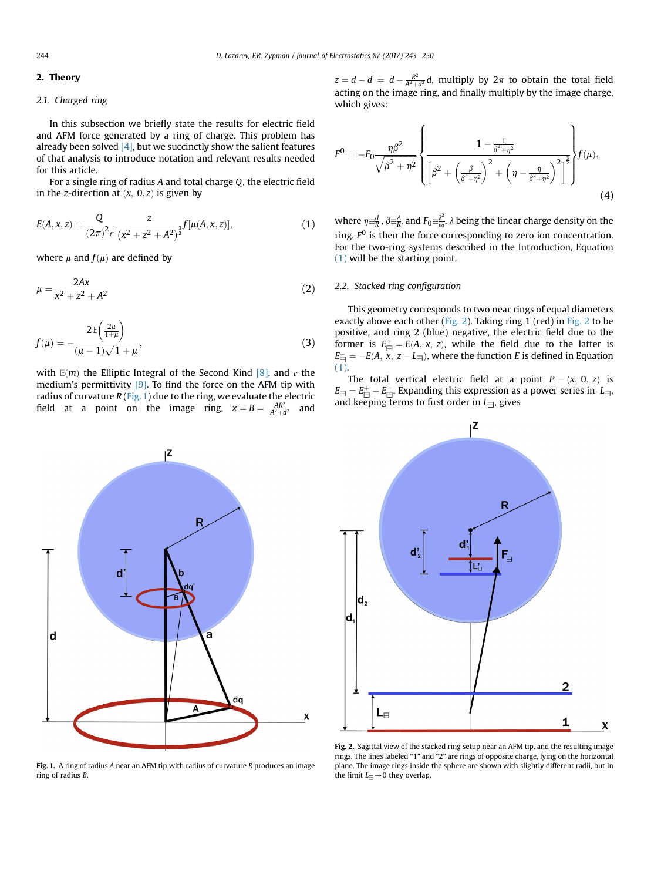## <span id="page-1-0"></span>2. Theory

# 2.1. Charged ring

In this subsection we briefly state the results for electric field and AFM force generated by a ring of charge. This problem has already been solved  $[4]$ , but we succinctly show the salient features of that analysis to introduce notation and relevant results needed for this article.

For a single ring of radius A and total charge Q, the electric field in the z-direction at  $(x, 0, z)$  is given by

$$
E(A, x, z) = \frac{Q}{(2\pi)^2 \epsilon} \frac{z}{(x^2 + z^2 + A^2)^{\frac{3}{2}}} f[\mu(A, x, z)],
$$
 (1)

where  $\mu$  and  $f(\mu)$  are defined by

$$
\mu = \frac{2Ax}{x^2 + z^2 + A^2} \tag{2}
$$

$$
f(\mu) = -\frac{2\mathbb{E}\left(\frac{2\mu}{1+\mu}\right)}{(\mu-1)\sqrt{1+\mu}},\tag{3}
$$

with  $E(m)$  the Elliptic Integral of the Second Kind [\[8\],](#page-7-0) and  $\varepsilon$  the medium's permittivity [\[9\]](#page-7-0). To find the force on the AFM tip with radius of curvature  $R$  (Fig. 1) due to the ring, we evaluate the electric field at a point on the image ring,  $x = B = \frac{AR^2}{A^2 + d^2}$  and



$$
F^{0} = -F_{0} \frac{\eta \beta^{2}}{\sqrt{\beta^{2} + \eta^{2}}} \left\{ \frac{1 - \frac{1}{\beta^{2} + \eta^{2}}}{\left[\beta^{2} + \left(\frac{\beta}{\beta^{2} + \eta^{2}}\right)^{2} + \left(\eta - \frac{\eta}{\beta^{2} + \eta^{2}}\right)^{2}\right]^{2}} \right\} f(\mu),
$$
\n(4)

where  $\eta = \frac{d}{R}$ ,  $\beta = \frac{A}{R}$ , and  $F_0 = \frac{\lambda^2}{\epsilon_0}$ ,  $\lambda$  being the linear charge density on the ring.  $F<sup>0</sup>$  is then the force corresponding to zero ion concentration. For the two-ring systems described in the Introduction, Equation (1) will be the starting point.

## 2.2. Stacked ring configuration

This geometry corresponds to two near rings of equal diameters exactly above each other (Fig. 2). Taking ring  $1$  (red) in Fig. 2 to be positive, and ring 2 (blue) negative, the electric field due to the former is  $E_{\overline{\Box}}^+ = E(A, x, z)$ , while the field due to the latter is  $E_{\overline{\Box}}^- = -E(A, x, z - L_{\overline{\Box}})$ , where the function E is defined in Equation (1).

The total vertical electric field at a point  $P = (x, 0, z)$  is  $E_\boxminus = E_\boxminus^+ + E_\boxminus^-$ . Expanding this expression as a power series in  $L_\boxminus$ , and keeping terms to first order in  $L_{\square}$ , gives



Fig. 1. A ring of radius A near an AFM tip with radius of curvature  $R$  produces an image ring of radius B.



Fig. 2. Sagittal view of the stacked ring setup near an AFM tip, and the resulting image rings. The lines labeled "1" and "2" are rings of opposite charge, lying on the horizontal plane. The image rings inside the sphere are shown with slightly different radii, but in the limit  $L_{\square}\rightarrow 0$  they overlap.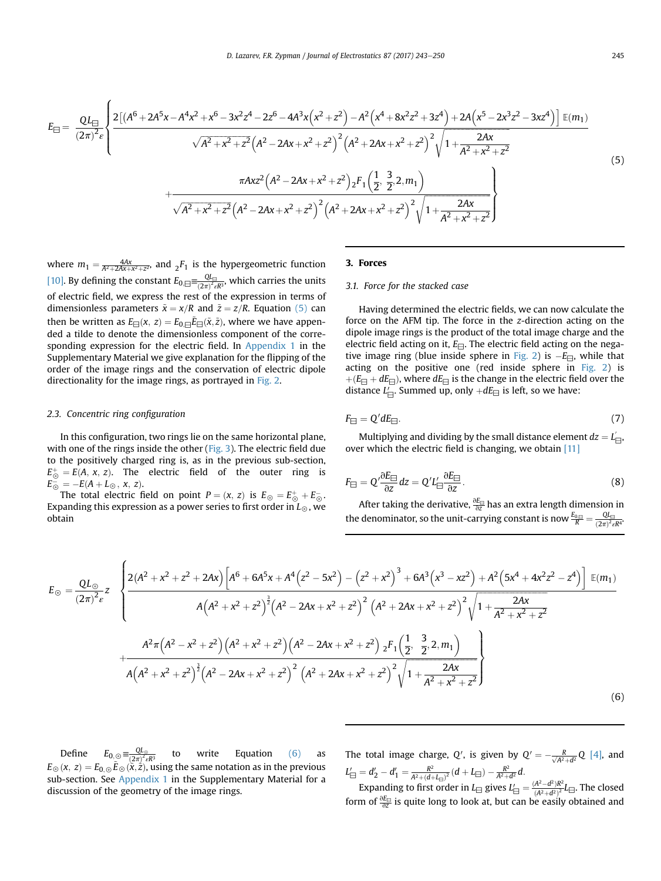<span id="page-2-0"></span>
$$
E_{\text{H}} = \frac{QL_{\text{H}}}{(2\pi)^{2}\varepsilon} \left\{ \frac{2\left[ (A^{6} + 2A^{5}x - A^{4}x^{2} + x^{6} - 3x^{2}z^{4} - 2z^{6} - 4A^{3}x\left(x^{2} + z^{2}\right) - A^{2}\left(x^{4} + 8x^{2}z^{2} + 3z^{4}\right) + 2A\left(x^{5} - 2x^{3}z^{2} - 3xz^{4}\right) \right] \mathbb{E}(m_{1})}{\sqrt{A^{2} + x^{2} + z^{2}} \left(A^{2} - 2Ax + x^{2} + z^{2}\right)^{2} \left(A^{2} + 2Ax + x^{2} + z^{2}\right)^{2} \sqrt{1 + \frac{2Ax}{A^{2} + x^{2} + z^{2}}}} \right\}
$$
\n
$$
+ \frac{\pi A x z^{2} \left(A^{2} - 2Ax + x^{2} + z^{2}\right) z F_{1}\left(\frac{1}{2}, \frac{3}{2}, 2, m_{1}\right)}{\sqrt{A^{2} + x^{2} + z^{2}} \left(A^{2} - 2Ax + x^{2} + z^{2}\right)^{2} \left(A^{2} + 2Ax + x^{2} + z^{2}\right)^{2} \sqrt{1 + \frac{2Ax}{A^{2} + x^{2} + z^{2}}}} \right\}
$$
\n
$$
(5)
$$

where  $m_1 = \frac{4Ax}{A^2 + 2Ax + x^2 + z^2}$ , and  ${}_2F_1$  is the hypergeometric function [\[10\]](#page-7-0). By defining the constant  $E_{0,\square} \equiv \frac{Q_{L_{\square}}}{(2\pi)^2 \epsilon R^3}$ , which carries the units of electric field, we express the rest of the expression in terms of dimensionless parameters  $\tilde{x} = x/R$  and  $\tilde{z} = z/R$ . Equation (5) can then be written as  $E_{\Box}(x,\,z)=E_{0,\Box}\tilde{E}_{\Box}(\tilde{x},\tilde{z})$ , where we have appended a tilde to denote the dimensionless component of the corresponding expression for the electric field. In Appendix 1 in the Supplementary Material we give explanation for the flipping of the order of the image rings and the conservation of electric dipole directionality for the image rings, as portrayed in [Fig. 2.](#page-1-0)

## 2.3. Concentric ring configuration

In this configuration, two rings lie on the same horizontal plane, with one of the rings inside the other ([Fig. 3\)](#page-3-0). The electric field due to the positively charged ring is, as in the previous sub-section,  $E_{\odot}^{+} = E(A, x, z)$ . The electric field of the outer ring is  $E_{\odot}^- = -E(A + L_{\odot}, x, z).$ 

The total electric field on point  $P = (x, z)$  is  $E_{\odot} = E_{\odot}^+ + E_{\odot}^-$ . Expanding this expression as a power series to first order in  $L_{\odot}$ , we obtain

## 3. Forces

# 3.1. Force for the stacked case

Having determined the electric fields, we can now calculate the force on the AFM tip. The force in the z-direction acting on the dipole image rings is the product of the total image charge and the electric field acting on it,  $E_{\Box}$ . The electric field acting on the nega-tive image ring (blue inside sphere in [Fig. 2](#page-1-0)) is  $-E_{\square}$ , while that acting on the positive one (red inside sphere in [Fig. 2\)](#page-1-0) is  $+(E_{\Box}+dE_{\Box})$ , where  $dE_{\Box}$  is the change in the electric field over the distance  $L'_{\boxminus}$ . Summed up, only  $+dE_{\boxminus}$  is left, so we have:

$$
F_{\boxminus} = Q' dE_{\boxminus}. \tag{7}
$$

Multiplying and dividing by the small distance element  $dz = L_{\square}$ . over which the electric field is changing, we obtain [\[11\]](#page-7-0)

$$
F_{\boxminus} = Q' \frac{\partial E_{\boxminus}}{\partial z} dz = Q' L'_{\boxminus} \frac{\partial E_{\boxminus}}{\partial z}.
$$
\n(8)

After taking the derivative,  $\frac{\partial E_{\Box}}{\partial z}$  has an extra length dimension in the denominator, so the unit-carrying constant is now  $\frac{E_{0}}{R} = \frac{QL_{\odot}}{(2\pi)^2\epsilon R^4}$ 

$$
E_{\odot} = \frac{QL_{\odot}}{(2\pi)^{2}\epsilon} z \left\{ \frac{2(A^{2} + x^{2} + z^{2} + 2Ax) \left[ A^{6} + 6A^{5}x + A^{4}(z^{2} - 5x^{2}) - (z^{2} + x^{2})^{3} + 6A^{3}(x^{3} - xz^{2}) + A^{2}(5x^{4} + 4x^{2}z^{2} - z^{4}) \right] \mathbb{E}(m_{1})}{A\left(A^{2} + x^{2} + z^{2}\right)^{3} \left(A^{2} - 2Ax + x^{2} + z^{2}\right)^{2} \left(A^{2} + 2Ax + x^{2} + z^{2}\right)^{2} \sqrt{1 + \frac{2Ax}{A^{2} + x^{2} + z^{2}}}} + \frac{A^{2}\pi\left(A^{2} - x^{2} + z^{2}\right)\left(A^{2} + x^{2} + z^{2}\right)\left(A^{2} - 2Ax + x^{2} + z^{2}\right)zF_{1}\left(\frac{1}{2}, \frac{3}{2}, 2, m_{1}\right)}{A\left(A^{2} + x^{2} + z^{2}\right)^{3} \left(A^{2} - 2Ax + x^{2} + z^{2}\right)^{2} \left(A^{2} + 2Ax + x^{2} + z^{2}\right)^{2} \sqrt{1 + \frac{2Ax}{A^{2} + x^{2} + z^{2}}}} \right\}
$$
\n
$$
(6)
$$

Define  $E_{0,\odot} = \frac{Q L_{\odot}}{(2\pi)^2 \epsilon R^3}$  to write Equation (6) as  $E_{\odot}$  (x, z) =  $E_{0,\odot}\tilde{E}_{\odot}(\tilde{x},\tilde{z})$ , using the same notation as in the previous sub-section. See Appendix 1 in the Supplementary Material for a discussion of the geometry of the image rings.

The total image charge, Q', is given by  $Q' = -\frac{R}{\sqrt{A^2+d^2}}Q$  [\[4\]](#page-7-0), and  $L'_{\square} = d'_2 - d'_1 = \frac{R^2}{A^2 + (d + L_{\square})^2} (d + L_{\square}) - \frac{R^2}{A^2 + d^2} d.$ 

Expanding to first order in  $L_{\square}$  gives  $L'_{\square} = \frac{(A^2 - d^2)R^2}{(A^2 + d^2)^2}L_{\square}$ . The closed form of  $\frac{\partial E_{\Box}}{\partial z}$  is quite long to look at, but can be easily obtained and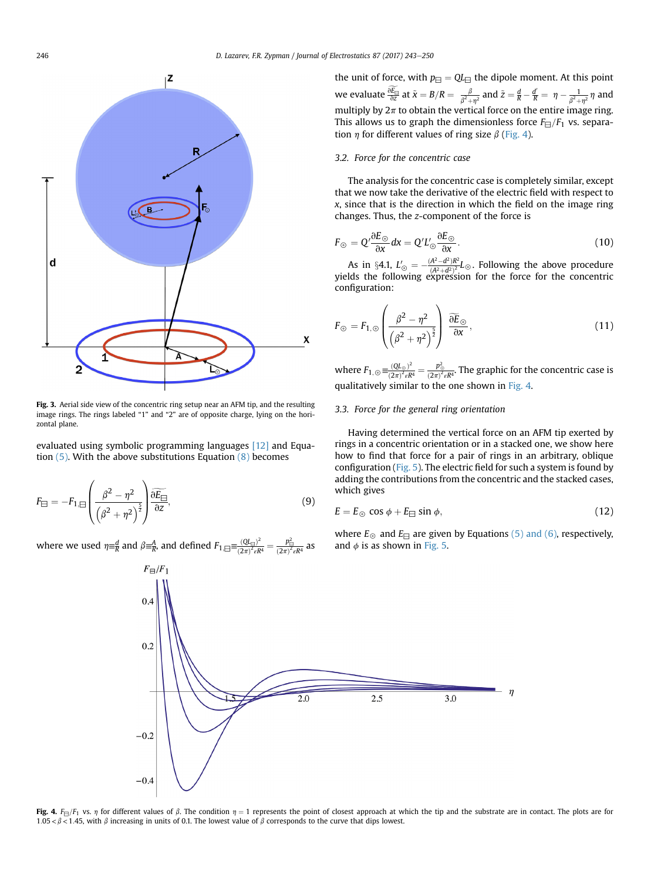<span id="page-3-0"></span>

Fig. 3. Aerial side view of the concentric ring setup near an AFM tip, and the resulting image rings. The rings labeled "1" and "2" are of opposite charge, lying on the horizontal plane.

evaluated using symbolic programming languages [\[12\]](#page-7-0) and Equation  $(5)$ . With the above substitutions Equation  $(8)$  becomes

$$
F_{\boxminus} = -F_{1,\boxminus} \left( \frac{\beta^2 - \eta^2}{\left( \beta^2 + \eta^2 \right)^{\frac{5}{2}}} \right) \frac{\partial \widetilde{E_{\boxminus}}}{\partial z},\tag{9}
$$

where we used  $\eta \equiv^d_R$  and  $\beta \equiv^A_R$ , and defined  $F_{1,\Xi} = \frac{(Q L_{\Xi})^2}{(2\pi)^2 \epsilon R}$  $\frac{(QL_{\boxplus})^2}{(2\pi)^2 \varepsilon R^4} = \frac{p_{\boxplus}^2}{(2\pi)^2 \varepsilon R^4}$  as

the unit of force, with  $p_{\text{H}} = Q L_{\text{H}}$  the dipole moment. At this point we evaluate  $\frac{\partial E_{\boxminus}}{\partial z}$  at  $\tilde{x} = B/R = \frac{\beta}{\beta^2 + \eta^2}$  and  $\tilde{z} = \frac{d}{R} - \frac{d'}{R} = \eta - \frac{1}{\beta^2 + \eta^2} \eta$  and multiply by  $2\pi$  to obtain the vertical force on the entire image ring. This allows us to graph the dimensionless force  $F_{\Box}/F_1$  vs. separation  $\eta$  for different values of ring size  $\beta$  (Fig. 4).

## 3.2. Force for the concentric case

The analysis for the concentric case is completely similar, except that we now take the derivative of the electric field with respect to x, since that is the direction in which the field on the image ring changes. Thus, the z-component of the force is

$$
F_{\odot} = Q' \frac{\partial E_{\odot}}{\partial x} dx = Q'L'_{\odot} \frac{\partial E_{\odot}}{\partial x}.
$$
\n(10)

As in §4.1,  $L'_{\odot} = -\frac{(A^2 - d^2)R^2}{(A^2 + d^2)^2}L_{\odot}$ . Following the above procedure yields the following expression for the force for the concentric configuration:

$$
F_{\odot} = F_{1,\odot} \left( \frac{\beta^2 - \eta^2}{\left( \beta^2 + \eta^2 \right)^{\frac{5}{2}}} \right) \frac{\widetilde{\partial E}_{\odot}}{\partial x},\tag{11}
$$

where  $F_{1,\odot} \equiv \frac{(QL_{\odot})^2}{(2\pi)^2 \epsilon R}$  $\frac{(QL_{\odot})^2}{(2\pi)^2 \epsilon R^4} = \frac{p_{\odot}^2}{(2\pi)^2 \epsilon R^4}$ . The graphic for the concentric case is qualitatively similar to the one shown in Fig. 4.

# 3.3. Force for the general ring orientation

Having determined the vertical force on an AFM tip exerted by rings in a concentric orientation or in a stacked one, we show here how to find that force for a pair of rings in an arbitrary, oblique configuration [\(Fig. 5\)](#page-4-0). The electric field for such a system is found by adding the contributions from the concentric and the stacked cases, which gives

$$
E = E_{\odot} \cos \phi + E_{\Box} \sin \phi, \tag{12}
$$

where  $E_{\odot}$  and  $E_{\Box}$  are given by Equations [\(5\) and \(6\),](#page-2-0) respectively, and  $\phi$  is as shown in [Fig. 5.](#page-4-0)



Fig. 4.  $F_{\Box}/F_1$  vs.  $\eta$  for different values of  $\beta$ . The condition  $\eta = 1$  represents the point of closest approach at which the tip and the substrate are in contact. The plots are for 1.05 <  $\beta$  < 1.45, with  $\beta$  increasing in units of 0.1. The lowest value of  $\beta$  corresponds to the curve that dips lowest.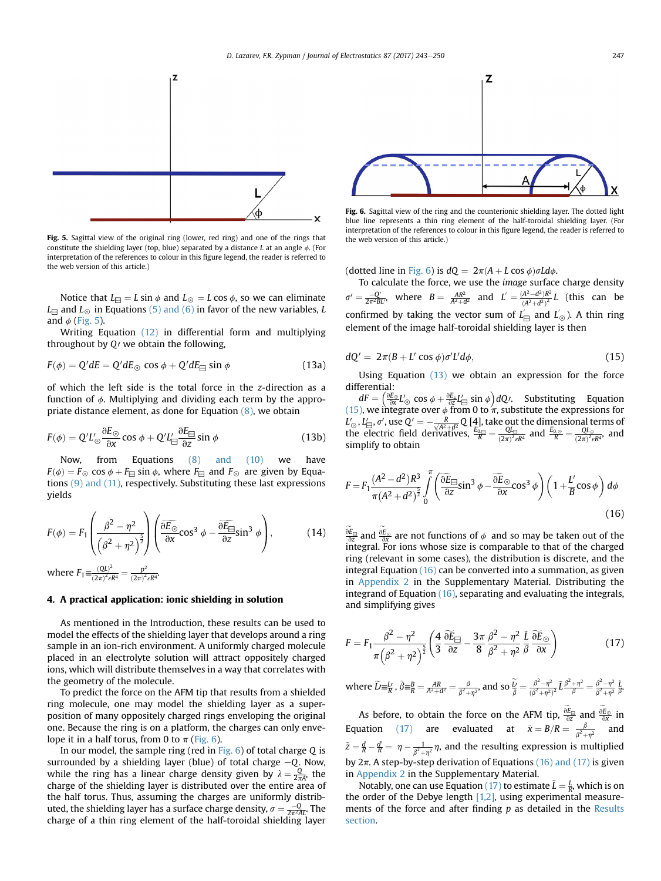<span id="page-4-0"></span>

Fig. 5. Sagittal view of the original ring (lower, red ring) and one of the rings that the web version of this article.) constitute the shielding layer (top, blue) separated by a distance L at an angle  $\phi$ . (For interpretation of the references to colour in this figure legend, the reader is referred to the web version of this article.)

Notice that  $L_{\square} = L \sin \phi$  and  $L_{\odot} = L \cos \phi$ , so we can eliminate  $L_{\square}$  and  $L_{\odot}$  in Equations [\(5\) and \(6\)](#page-2-0) in favor of the new variables, L and  $\phi$  (Fig. 5).

Writing Equation [\(12\)](#page-3-0) in differential form and multiplying throughout by  $Q$  we obtain the following,

$$
F(\phi) = Q'dE = Q'dE_{\odot} \cos \phi + Q'dE_{\Box} \sin \phi \tag{13a}
$$

of which the left side is the total force in the z-direction as a function of  $\phi$ . Multiplying and dividing each term by the appropriate distance element, as done for Equation [\(8\)](#page-2-0), we obtain

$$
F(\phi) = Q'L'_{\odot} \frac{\partial E_{\odot}}{\partial x} \cos \phi + Q'L'_{\boxminus} \frac{\partial E_{\boxminus}}{\partial z} \sin \phi \tag{13b}
$$

Now, from Equations [\(8\) and \(10\)](#page-2-0) we have  $F(\phi) = F_{\odot} \cos \phi + F_{\Box} \sin \phi$ , where  $F_{\Box}$  and  $F_{\odot}$  are given by Equations [\(9\) and \(11\),](#page-3-0) respectively. Substituting these last expressions yields

$$
F(\phi) = F_1 \left( \frac{\beta^2 - \eta^2}{\left(\beta^2 + \eta^2\right)^{\frac{5}{2}}} \right) \left( \frac{\partial \widetilde{E_{\odot}}}{\partial x} \cos^3 \phi - \frac{\partial \widetilde{E_{\Box}}}{\partial z} \sin^3 \phi \right), \tag{14}
$$

where  $F_1 = \frac{(QL)^2}{(2\pi)^2 c}$  $\frac{(QL)^2}{(2\pi)^2 \varepsilon R^4} = \frac{p^2}{(2\pi)^2 \varepsilon R^4}.$ 

# 4. A practical application: ionic shielding in solution

As mentioned in the Introduction, these results can be used to model the effects of the shielding layer that develops around a ring sample in an ion-rich environment. A uniformly charged molecule placed in an electrolyte solution will attract oppositely charged ions, which will distribute themselves in a way that correlates with the geometry of the molecule.

To predict the force on the AFM tip that results from a shielded ring molecule, one may model the shielding layer as a superposition of many oppositely charged rings enveloping the original one. Because the ring is on a platform, the charges can only envelope it in a half torus, from 0 to  $\pi$  (Fig. 6).

In our model, the sample ring (red in  $Fig. 6$ ) of total charge Q is surrounded by a shielding layer (blue) of total charge  $-Q$ . Now, while the ring has a linear charge density given by  $\lambda = \frac{Q}{2\pi A}$ , the charge of the shielding layer is distributed over the entire area of the half torus. Thus, assuming the charges are uniformly distributed, the shielding layer has a surface charge density,  $\sigma = \frac{-Q}{2\pi^2AL}$ . The charge of a thin ring element of the half-toroidal shielding layer



Fig. 6. Sagittal view of the ring and the counterionic shielding layer. The dotted light blue line represents a thin ring element of the half-toroidal shielding layer. (For interpretation of the references to colour in this figure legend, the reader is referred to

(dotted line in Fig. 6) is  $dO = 2\pi(A + L \cos \phi) \sigma L d\phi$ .

To calculate the force, we use the image surface charge density  $\sigma' = \frac{-Q'}{2\pi^2 BL'}$ , where  $B = \frac{AR^2}{A^2+d^2}$  and  $L' = \frac{(A^2-d^2)R^2}{(A^2+d^2)^2}L$  (this can be confirmed by taking the vector sum of  $L'_{\text{m}}$  and  $L'_{\odot}$ ). A thin ring element of the image half-toroidal shielding layer is then

$$
dQ' = 2\pi (B + L' \cos \phi) \sigma' L' d\phi, \qquad (15)
$$

Using Equation (13) we obtain an expression for the force differential:

 $dF = \left(\frac{\partial E_{\odot}}{\partial x}L'_{\odot} \cos \phi + \frac{\partial E_{\perp}}{\partial z}L'_{\square} \sin \phi\right)dQ$ . Substituting Equation (15), we integrate over  $\phi$  from 0 to  $\pi$ , substitute the expressions for  $L'_{\odot}$ ,  $L'_{\boxminus}$ ,  $\sigma'$ , use  $Q' = -\frac{R}{\sqrt{A^2+d^2}} Q$  [4], take out the dimensional terms of<br>the electric field derivatives,  $\frac{E_{0,\boxdot}}{R} = \frac{Q L_{\boxdot}}{(2\pi)^2 \epsilon R^4}$  and  $\frac{E_{0,\odot}}{R} = \frac{Q L_{\odot}}{(2\pi)^2 \epsilon R^4}$ , and simplify to obtain

$$
F = F_1 \frac{(A^2 - d^2)R^3}{\pi (A^2 + d^2)^{\frac{5}{2}}} \int_0^{\pi} \left( \frac{\partial \widetilde{E}_{\square}}{\partial z} \sin^3 \phi - \frac{\partial \widetilde{E}_{\odot}}{\partial x} \cos^3 \phi \right) \left( 1 + \frac{L'}{B} \cos \phi \right) d\phi
$$
\n(16)

 $\frac{\partial E_{\ominus}}{\partial z}$  and  $\frac{\partial E_{\odot}}{\partial x}$  are not functions of  $\phi$  and so may be taken out of the integral. For ions whose size is comparable to that of the charged ring (relevant in some cases), the distribution is discrete, and the integral Equation (16) can be converted into a summation, as given in Appendix 2 in the Supplementary Material. Distributing the integrand of Equation (16), separating and evaluating the integrals, and simplifying gives

$$
F = F_1 \frac{\beta^2 - \eta^2}{\pi \left(\beta^2 + \eta^2\right)^{\frac{5}{2}}} \left(\frac{4}{3} \frac{\widetilde{\partial} E_{\Box}}{\partial z} - \frac{3\pi}{8} \frac{\beta^2 - \eta^2}{\beta^2 + \eta^2} \frac{\widetilde{L}}{\beta} \frac{\widetilde{\partial} E_{\odot}}{\partial x}\right)
$$
(17)

where 
$$
\widetilde{L} = \frac{L}{R}
$$
,  $\widetilde{\beta} = \frac{B}{R} = \frac{AR}{A^2 + d^2} = \frac{\beta}{\beta^2 + \eta^2}$ , and so  $\widetilde{\frac{L}{\beta}} = \frac{\beta^2 - \eta^2}{(\beta^2 + \eta^2)^2} \widetilde{L} \frac{\beta^2 + \eta^2}{\beta} = \frac{\beta^2 - \eta^2}{\beta^2 + \eta^2} \frac{\widetilde{L}}{\widetilde{\beta}}$ .

As before, to obtain the force on the AFM tip,  $\frac{\partial E_{\Box}}{\partial z}$  and  $\frac{\partial E_{\odot}}{\partial x}$  in Equation (17) are evaluated at  $\tilde{x} = B/R = \frac{\beta}{\beta^2 + \eta^2}$  and  $\tilde{z} = \frac{d}{R} - \frac{d'}{R} = \eta - \frac{1}{\beta^2 + \eta^2} \eta$ , and the resulting expression is multiplied by  $2\pi$ . A step-by-step derivation of Equations (16) and (17) is given in Appendix 2 in the Supplementary Material.

Notably, one can use Equation (17) to estimate  $\tilde{L} = \frac{L}{R}$ , which is on the order of the Debye length  $[1,2]$ , using experimental measurements of the force and after finding p as detailed in the Results section.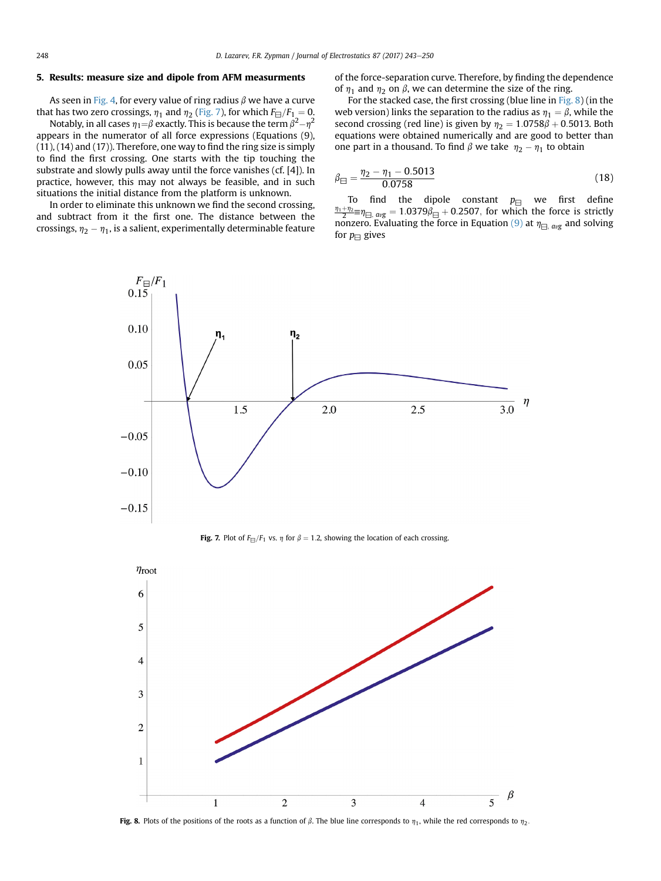## 5. Results: measure size and dipole from AFM measurments

As seen in [Fig. 4](#page-3-0), for every value of ring radius  $\beta$  we have a curve that has two zero crossings,  $\eta_1$  and  $\eta_2$  (Fig. 7), for which  $F_{\Box}/F_1 = 0$ .

Notably, in all cases  $\eta_1 = \beta$  exactly. This is because the term  $\beta^2 - \eta^2$ appears in the numerator of all force expressions (Equations (9), (11), (14) and (17)). Therefore, one way to find the ring size is simply to find the first crossing. One starts with the tip touching the substrate and slowly pulls away until the force vanishes (cf. [4]). In practice, however, this may not always be feasible, and in such situations the initial distance from the platform is unknown.

In order to eliminate this unknown we find the second crossing, and subtract from it the first one. The distance between the crossings,  $\eta_2 - \eta_1$ , is a salient, experimentally determinable feature of the force-separation curve. Therefore, by finding the dependence of  $\eta_1$  and  $\eta_2$  on  $\beta$ , we can determine the size of the ring.

For the stacked case, the first crossing (blue line in Fig. 8) (in the web version) links the separation to the radius as  $\eta_1 = \beta$ , while the second crossing (red line) is given by  $n_2 = 1.0758\beta + 0.5013$ . Both equations were obtained numerically and are good to better than one part in a thousand. To find  $\beta$  we take  $\eta_2 - \eta_1$  to obtain

$$
\beta_{\text{H}} = \frac{\eta_2 - \eta_1 - 0.5013}{0.0758} \tag{18}
$$

To find the dipole constant  $p_{\Box}$  we first define  $\frac{\eta_1 + \eta_2}{2}$ ≡ $\eta_{\text{H, avg}} = 1.0379\hat{\beta}_{\text{H}} + 0.2507$ , for which the force is strictly nonzero. Evaluating the force in Equation [\(9\)](#page-3-0) at  $\eta_{\square, avg}$  and solving for  $p_{\text{H}}$  gives



**Fig. 7.** Plot of  $F_{\Box}/F_1$  vs.  $\eta$  for  $\beta = 1.2$ , showing the location of each crossing.



Fig. 8. Plots of the positions of the roots as a function of  $\beta$ . The blue line corresponds to  $\eta_1$ , while the red corresponds to  $\eta_2$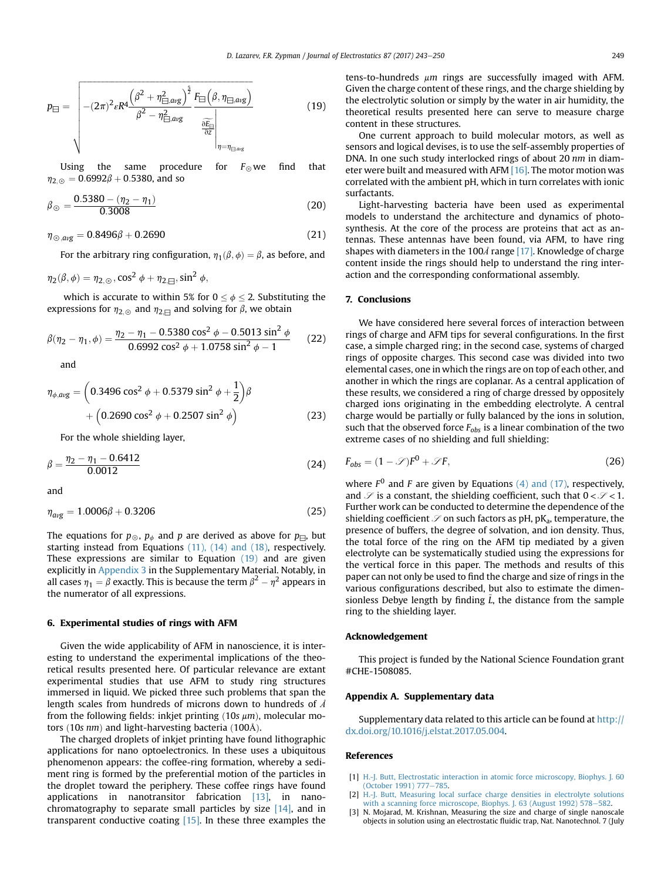<span id="page-6-0"></span>
$$
p_{\boxminus} = \sqrt{- (2\pi)^2 \varepsilon R^4 \frac{\left(\beta^2 + \eta_{\boxminus,avg}^2\right)^{\frac{5}{2}}}{\beta^2 - \eta_{\boxminus,avg}^2} \frac{F_{\boxminus} \left(\beta, \eta_{\boxminus,avg}\right)}{\frac{\partial F_{\boxminus}}{\partial z}}}
$$
(19)

Using the same procedure for  $F_{\odot}$  we find that  $\eta_{2,0} = 0.6992\beta + 0.5380$ , and so

$$
\beta_{\odot} = \frac{0.5380 - (\eta_2 - \eta_1)}{0.3008}
$$
 (20)

$$
\eta_{\odot, avg} = 0.8496\beta + 0.2690\tag{21}
$$

For the arbitrary ring configuration,  $\eta_1(\beta, \phi) = \beta$ , as before, and

$$
\eta_2(\beta,\phi)=\eta_{2,\odot},\cos^2\phi+\eta_{2,\boxminus},\sin^2\phi,
$$

which is accurate to within 5% for  $0 \le \phi \le 2$ . Substituting the expressions for  $\eta_{2,\odot}$  and  $\eta_{2;\ominus}$  and solving for  $\beta$ , we obtain

$$
\beta(\eta_2 - \eta_1, \phi) = \frac{\eta_2 - \eta_1 - 0.5380 \cos^2 \phi - 0.5013 \sin^2 \phi}{0.6992 \cos^2 \phi + 1.0758 \sin^2 \phi - 1}
$$
 (22)

and

$$
\eta_{\phi,\text{avg}} = \left(0.3496 \cos^2 \phi + 0.5379 \sin^2 \phi + \frac{1}{2}\right)\beta + \left(0.2690 \cos^2 \phi + 0.2507 \sin^2 \phi\right)
$$
\n(23)

For the whole shielding layer,

$$
\beta = \frac{\eta_2 - \eta_1 - 0.6412}{0.0012} \tag{24}
$$

and

$$
\eta_{avg} = 1.0006\beta + 0.3206\tag{25}
$$

The equations for  $p_{\odot}$ ,  $p_{\phi}$  and p are derived as above for  $p_{\Box}$ , but starting instead from Equations [\(11\), \(14\) and \(18\)](#page-3-0), respectively. These expressions are similar to Equation (19) and are given explicitly in Appendix 3 in the Supplementary Material. Notably, in all cases  $\eta_1 = \beta$  exactly. This is because the term  $\beta^2 - \eta^2$  appears in the numerator of all expressions.

## 6. Experimental studies of rings with AFM

Given the wide applicability of AFM in nanoscience, it is interesting to understand the experimental implications of the theoretical results presented here. Of particular relevance are extant experimental studies that use AFM to study ring structures immersed in liquid. We picked three such problems that span the length scales from hundreds of microns down to hundreds of Å from the following fields: inkjet printing  $(10s \mu m)$ , molecular motors  $(10s nm)$  and light-harvesting bacteria  $(100\text{\AA})$ .

The charged droplets of inkjet printing have found lithographic applications for nano optoelectronics. In these uses a ubiquitous phenomenon appears: the coffee-ring formation, whereby a sediment ring is formed by the preferential motion of the particles in the droplet toward the periphery. These coffee rings have found applications in nanotransitor fabrication [\[13\]](#page-7-0), in nanochromatography to separate small particles by size  $[14]$ , and in transparent conductive coating [\[15\].](#page-7-0) In these three examples the tens-to-hundreds  $\mu$ m rings are successfully imaged with AFM. Given the charge content of these rings, and the charge shielding by the electrolytic solution or simply by the water in air humidity, the theoretical results presented here can serve to measure charge content in these structures.

One current approach to build molecular motors, as well as sensors and logical devises, is to use the self-assembly properties of DNA. In one such study interlocked rings of about 20 nm in diameter were built and measured with AFM [\[16\]](#page-7-0). The motor motion was correlated with the ambient pH, which in turn correlates with ionic surfactants.

Light-harvesting bacteria have been used as experimental models to understand the architecture and dynamics of photosynthesis. At the core of the process are proteins that act as antennas. These antennas have been found, via AFM, to have ring shapes with diameters in the 100Å range [\[17\]](#page-7-0). Knowledge of charge content inside the rings should help to understand the ring interaction and the corresponding conformational assembly.

## 7. Conclusions

We have considered here several forces of interaction between rings of charge and AFM tips for several configurations. In the first case, a simple charged ring; in the second case, systems of charged rings of opposite charges. This second case was divided into two elemental cases, one in which the rings are on top of each other, and another in which the rings are coplanar. As a central application of these results, we considered a ring of charge dressed by oppositely charged ions originating in the embedding electrolyte. A central charge would be partially or fully balanced by the ions in solution, such that the observed force  $F_{obs}$  is a linear combination of the two extreme cases of no shielding and full shielding:

$$
F_{obs} = (1 - \mathcal{S})F^0 + \mathcal{S}F,\tag{26}
$$

where  $F^0$  and F are given by Equations [\(4\) and \(17\),](#page-1-0) respectively, and  $\mathscr S$  is a constant, the shielding coefficient, such that  $0 < \mathscr S < 1$ . Further work can be conducted to determine the dependence of the shielding coefficient  $\mathcal S$  on such factors as pH, pK<sub>a</sub>, temperature, the presence of buffers, the degree of solvation, and ion density. Thus, the total force of the ring on the AFM tip mediated by a given electrolyte can be systematically studied using the expressions for the vertical force in this paper. The methods and results of this paper can not only be used to find the charge and size of rings in the various configurations described, but also to estimate the dimensionless Debye length by finding  $\tilde{L}$ , the distance from the sample ring to the shielding layer.

## Acknowledgement

This project is funded by the National Science Foundation grant #CHE-1508085.

## Appendix A. Supplementary data

Supplementary data related to this article can be found at [http://](http://dx.doi.org/10.1016/j.elstat.2017.05.004) [dx.doi.org/10.1016/j.elstat.2017.05.004.](http://dx.doi.org/10.1016/j.elstat.2017.05.004)

#### References

- [1] [H.-J. Butt, Electrostatic interaction in atomic force microscopy, Biophys. J. 60](http://refhub.elsevier.com/S0304-3886(17)30133-X/sref1) [\(October 1991\) 777](http://refhub.elsevier.com/S0304-3886(17)30133-X/sref1)-[785](http://refhub.elsevier.com/S0304-3886(17)30133-X/sref1).
- [2] [H.-J. Butt, Measuring local surface charge densities in electrolyte solutions](http://refhub.elsevier.com/S0304-3886(17)30133-X/sref2) [with a scanning force microscope, Biophys. J. 63 \(August 1992\) 578](http://refhub.elsevier.com/S0304-3886(17)30133-X/sref2)-[582.](http://refhub.elsevier.com/S0304-3886(17)30133-X/sref2)
- [3] N. Mojarad, M. Krishnan, Measuring the size and charge of single nanoscale objects in solution using an electrostatic fluidic trap, Nat. Nanotechnol. 7 (July